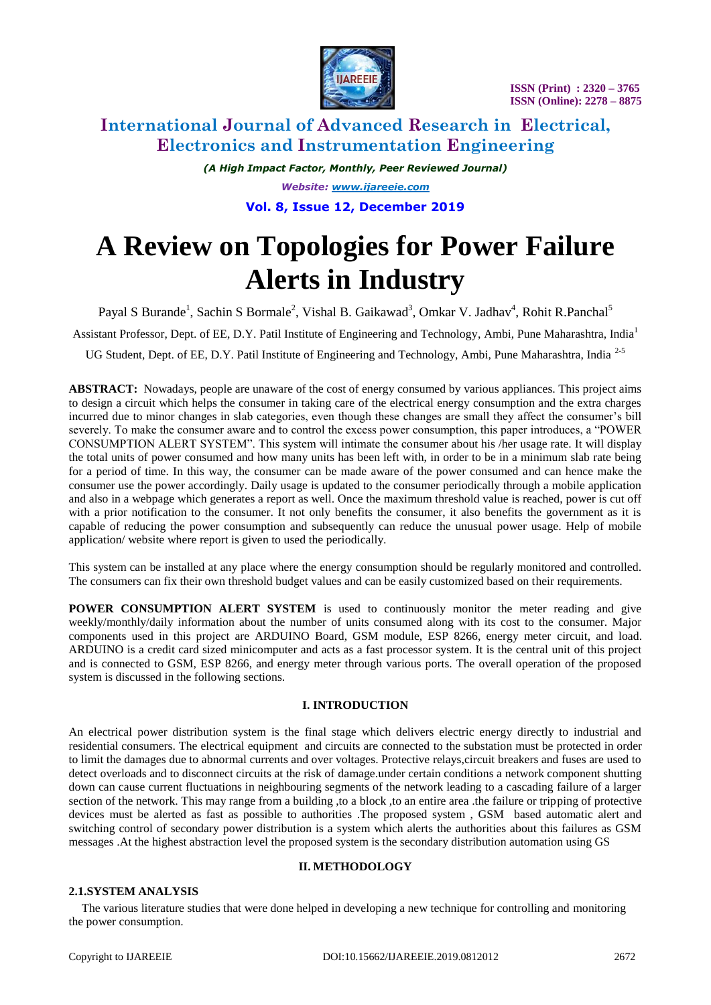

# **International Journal of Advanced Research in Electrical, Electronics and Instrumentation Engineering**

*(A High Impact Factor, Monthly, Peer Reviewed Journal) Website: [www.ijareeie.com](http://www.ijareeie.com/)* **Vol. 8, Issue 12, December 2019**

# **A Review on Topologies for Power Failure Alerts in Industry**

Payal S Burande<sup>1</sup>, Sachin S Bormale<sup>2</sup>, Vishal B. Gaikawad<sup>3</sup>, Omkar V. Jadhav<sup>4</sup>, Rohit R.Panchal<sup>5</sup>

Assistant Professor, Dept. of EE, D.Y. Patil Institute of Engineering and Technology, Ambi, Pune Maharashtra, India<sup>1</sup>

UG Student, Dept. of EE, D.Y. Patil Institute of Engineering and Technology, Ambi, Pune Maharashtra, India<sup>2-5</sup>

**ABSTRACT:** Nowadays, people are unaware of the cost of energy consumed by various appliances. This project aims to design a circuit which helps the consumer in taking care of the electrical energy consumption and the extra charges incurred due to minor changes in slab categories, even though these changes are small they affect the consumer's bill severely. To make the consumer aware and to control the excess power consumption, this paper introduces, a "POWER CONSUMPTION ALERT SYSTEM". This system will intimate the consumer about his /her usage rate. It will display the total units of power consumed and how many units has been left with, in order to be in a minimum slab rate being for a period of time. In this way, the consumer can be made aware of the power consumed and can hence make the consumer use the power accordingly. Daily usage is updated to the consumer periodically through a mobile application and also in a webpage which generates a report as well. Once the maximum threshold value is reached, power is cut off with a prior notification to the consumer. It not only benefits the consumer, it also benefits the government as it is capable of reducing the power consumption and subsequently can reduce the unusual power usage. Help of mobile application/ website where report is given to used the periodically.

This system can be installed at any place where the energy consumption should be regularly monitored and controlled. The consumers can fix their own threshold budget values and can be easily customized based on their requirements.

**POWER CONSUMPTION ALERT SYSTEM** is used to continuously monitor the meter reading and give weekly/monthly/daily information about the number of units consumed along with its cost to the consumer. Major components used in this project are ARDUINO Board, GSM module, ESP 8266, energy meter circuit, and load. ARDUINO is a credit card sized minicomputer and acts as a fast processor system. It is the central unit of this project and is connected to GSM, ESP 8266, and energy meter through various ports. The overall operation of the proposed system is discussed in the following sections.

### **I. INTRODUCTION**

An electrical power distribution system is the final stage which delivers electric energy directly to industrial and residential consumers. The electrical equipment and circuits are connected to the substation must be protected in order to limit the damages due to abnormal currents and over voltages. Protective relays,circuit breakers and fuses are used to detect overloads and to disconnect circuits at the risk of damage.under certain conditions a network component shutting down can cause current fluctuations in neighbouring segments of the network leading to a cascading failure of a larger section of the network. This may range from a building ,to a block ,to an entire area .the failure or tripping of protective devices must be alerted as fast as possible to authorities .The proposed system , GSM based automatic alert and switching control of secondary power distribution is a system which alerts the authorities about this failures as GSM messages .At the highest abstraction level the proposed system is the secondary distribution automation using GS

### **II. METHODOLOGY**

### **2.1.SYSTEM ANALYSIS**

The various literature studies that were done helped in developing a new technique for controlling and monitoring the power consumption.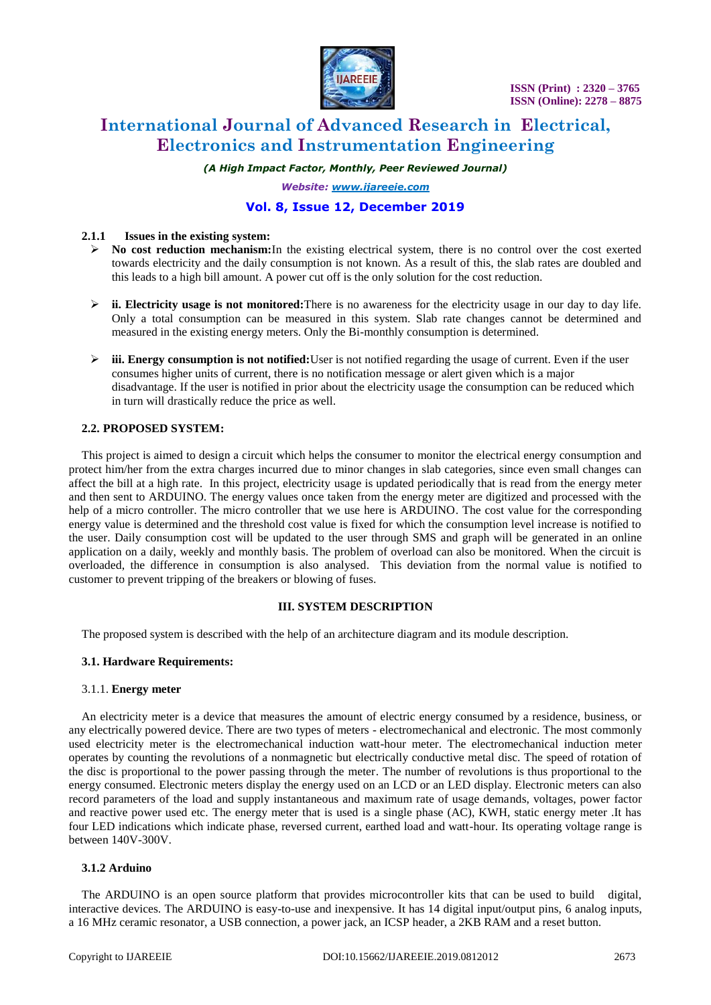

# **International Journal of Advanced Research in Electrical, Electronics and Instrumentation Engineering**

*(A High Impact Factor, Monthly, Peer Reviewed Journal)*

*Website: [www.ijareeie.com](http://www.ijareeie.com/)*

# **Vol. 8, Issue 12, December 2019**

#### **2.1.1 Issues in the existing system:**

- **No cost reduction mechanism:**In the existing electrical system, there is no control over the cost exerted towards electricity and the daily consumption is not known. As a result of this, the slab rates are doubled and this leads to a high bill amount. A power cut off is the only solution for the cost reduction.
- **ii. Electricity usage is not monitored:**There is no awareness for the electricity usage in our day to day life. Only a total consumption can be measured in this system. Slab rate changes cannot be determined and measured in the existing energy meters. Only the Bi-monthly consumption is determined.
- **iii. Energy consumption is not notified:**User is not notified regarding the usage of current. Even if the user consumes higher units of current, there is no notification message or alert given which is a major disadvantage. If the user is notified in prior about the electricity usage the consumption can be reduced which in turn will drastically reduce the price as well.

### **2.2. PROPOSED SYSTEM:**

This project is aimed to design a circuit which helps the consumer to monitor the electrical energy consumption and protect him/her from the extra charges incurred due to minor changes in slab categories, since even small changes can affect the bill at a high rate. In this project, electricity usage is updated periodically that is read from the energy meter and then sent to ARDUINO. The energy values once taken from the energy meter are digitized and processed with the help of a micro controller. The micro controller that we use here is ARDUINO. The cost value for the corresponding energy value is determined and the threshold cost value is fixed for which the consumption level increase is notified to the user. Daily consumption cost will be updated to the user through SMS and graph will be generated in an online application on a daily, weekly and monthly basis. The problem of overload can also be monitored. When the circuit is overloaded, the difference in consumption is also analysed. This deviation from the normal value is notified to customer to prevent tripping of the breakers or blowing of fuses.

#### **III. SYSTEM DESCRIPTION**

The proposed system is described with the help of an architecture diagram and its module description.

#### **3.1. Hardware Requirements:**

#### 3.1.1. **Energy meter**

An electricity meter is a device that measures the amount of electric energy consumed by a residence, business, or any electrically powered device. There are two types of meters - electromechanical and electronic. The most commonly used electricity meter is the electromechanical induction watt-hour meter. The electromechanical induction meter operates by counting the revolutions of a nonmagnetic but electrically conductive metal disc. The speed of rotation of the disc is proportional to the power passing through the meter. The number of revolutions is thus proportional to the energy consumed. Electronic meters display the energy used on an LCD or an LED display. Electronic meters can also record parameters of the load and supply instantaneous and maximum rate of usage demands, voltages, power factor and reactive power used etc. The energy meter that is used is a single phase (AC), KWH, static energy meter .It has four LED indications which indicate phase, reversed current, earthed load and watt-hour. Its operating voltage range is between 140V-300V.

#### **3.1.2 Arduino**

The ARDUINO is an open source platform that provides microcontroller kits that can be used to build digital, interactive devices. The ARDUINO is easy-to-use and inexpensive. It has 14 digital input/output pins, 6 analog inputs, a 16 MHz ceramic resonator, a USB connection, a power jack, an ICSP header, a 2KB RAM and a reset button.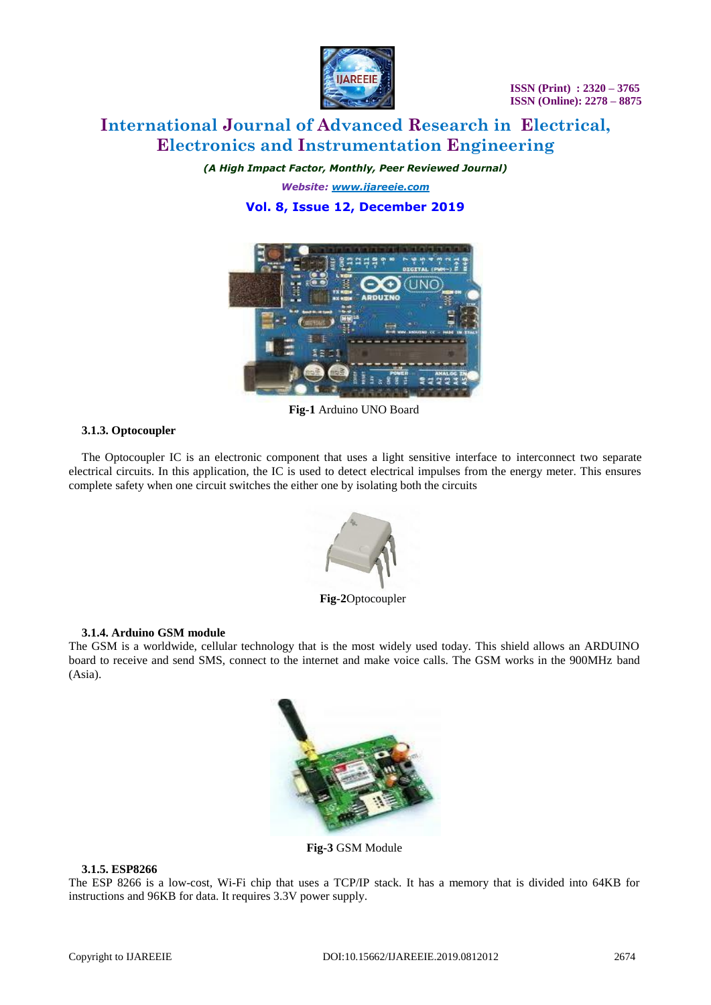

# **International Journal of Advanced Research in Electrical, Electronics and Instrumentation Engineering**

*(A High Impact Factor, Monthly, Peer Reviewed Journal)*

*Website: [www.ijareeie.com](http://www.ijareeie.com/)* **Vol. 8, Issue 12, December 2019**



**Fig-1** Arduino UNO Board

## **3.1.3. Optocoupler**

The Optocoupler IC is an electronic component that uses a light sensitive interface to interconnect two separate electrical circuits. In this application, the IC is used to detect electrical impulses from the energy meter. This ensures complete safety when one circuit switches the either one by isolating both the circuits



**Fig-2**Optocoupler

### **3.1.4. Arduino GSM module**

The GSM is a worldwide, cellular technology that is the most widely used today. This shield allows an ARDUINO board to receive and send SMS, connect to the internet and make voice calls. The GSM works in the 900MHz band (Asia).



**Fig-3** GSM Module

# **3.1.5. ESP8266**

The ESP 8266 is a low-cost, Wi-Fi chip that uses a TCP/IP stack. It has a memory that is divided into 64KB for instructions and 96KB for data. It requires 3.3V power supply.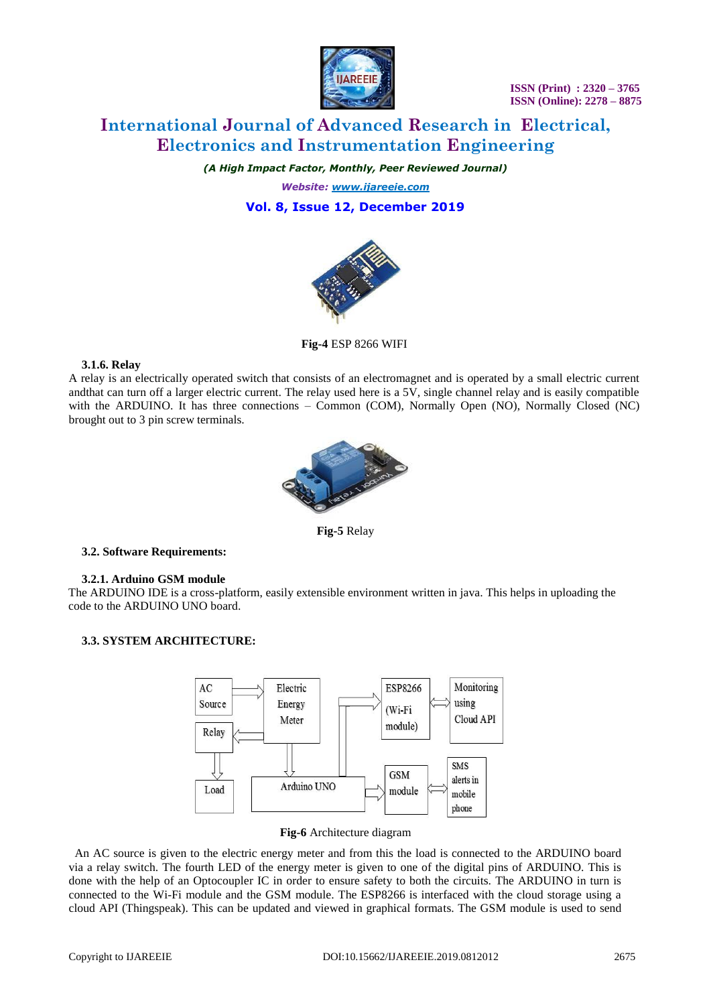

# **International Journal of Advanced Research in Electrical, Electronics and Instrumentation Engineering**

*(A High Impact Factor, Monthly, Peer Reviewed Journal)*

*Website: [www.ijareeie.com](http://www.ijareeie.com/)* **Vol. 8, Issue 12, December 2019**



**Fig-4** ESP 8266 WIFI

### **3.1.6. Relay**

A relay is an electrically operated switch that consists of an electromagnet and is operated by a small electric current andthat can turn off a larger electric current. The relay used here is a 5V, single channel relay and is easily compatible with the ARDUINO. It has three connections – Common (COM), Normally Open (NO), Normally Closed (NC) brought out to 3 pin screw terminals.



**Fig-5** Relay

### **3.2. Software Requirements:**

#### **3.2.1. Arduino GSM module**

The ARDUINO IDE is a cross-platform, easily extensible environment written in java. This helps in uploading the code to the ARDUINO UNO board.

### **3.3. SYSTEM ARCHITECTURE:**



#### **Fig-6** Architecture diagram

 An AC source is given to the electric energy meter and from this the load is connected to the ARDUINO board via a relay switch. The fourth LED of the energy meter is given to one of the digital pins of ARDUINO. This is done with the help of an Optocoupler IC in order to ensure safety to both the circuits. The ARDUINO in turn is connected to the Wi-Fi module and the GSM module. The ESP8266 is interfaced with the cloud storage using a cloud API (Thingspeak). This can be updated and viewed in graphical formats. The GSM module is used to send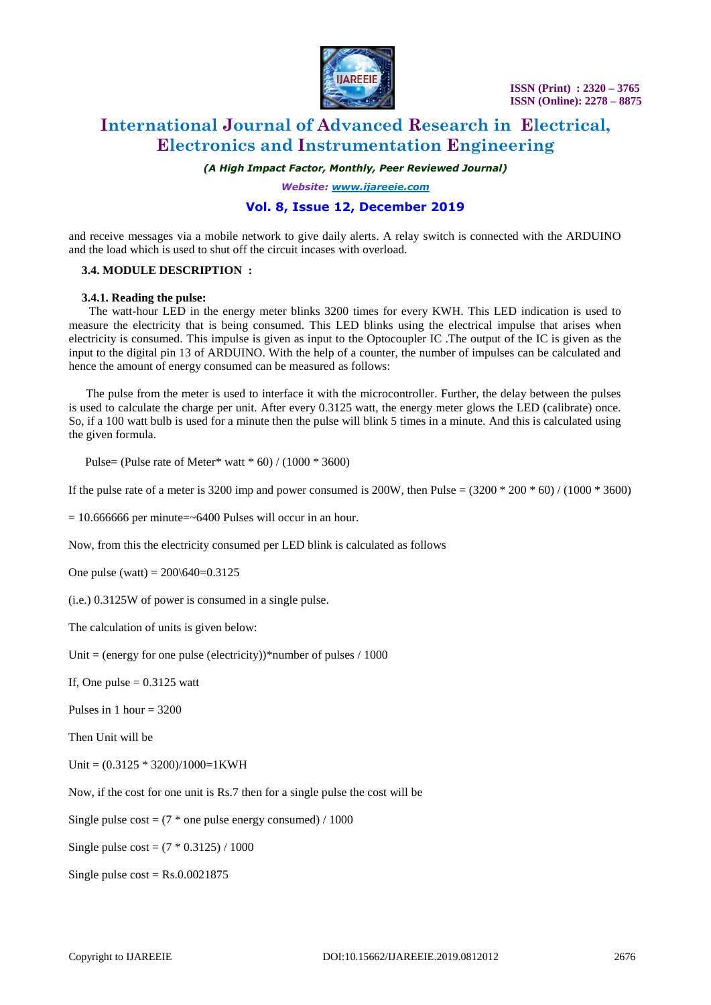

# **International Journal of Advanced Research in Electrical, Electronics and Instrumentation Engineering**

*(A High Impact Factor, Monthly, Peer Reviewed Journal)*

*Website: [www.ijareeie.com](http://www.ijareeie.com/)*

# **Vol. 8, Issue 12, December 2019**

and receive messages via a mobile network to give daily alerts. A relay switch is connected with the ARDUINO and the load which is used to shut off the circuit incases with overload.

### **3.4. MODULE DESCRIPTION :**

#### **3.4.1. Reading the pulse:**

The watt-hour LED in the energy meter blinks 3200 times for every KWH. This LED indication is used to measure the electricity that is being consumed. This LED blinks using the electrical impulse that arises when electricity is consumed. This impulse is given as input to the Optocoupler IC .The output of the IC is given as the input to the digital pin 13 of ARDUINO. With the help of a counter, the number of impulses can be calculated and hence the amount of energy consumed can be measured as follows:

The pulse from the meter is used to interface it with the microcontroller. Further, the delay between the pulses is used to calculate the charge per unit. After every 0.3125 watt, the energy meter glows the LED (calibrate) once. So, if a 100 watt bulb is used for a minute then the pulse will blink 5 times in a minute. And this is calculated using the given formula.

Pulse= (Pulse rate of Meter\* watt \* 60) /  $(1000 * 3600)$ 

If the pulse rate of a meter is 3200 imp and power consumed is 200W, then Pulse =  $(3200 * 200 * 60) / (1000 * 3600)$ 

 $= 10.666666$  per minute=~6400 Pulses will occur in an hour.

Now, from this the electricity consumed per LED blink is calculated as follows

One pulse (watt) =  $200\overline{\smash{\big)}\,640}$ =0.3125

(i.e.) 0.3125W of power is consumed in a single pulse.

The calculation of units is given below:

Unit = (energy for one pulse (electricity))\*number of pulses  $/ 1000$ 

If, One pulse  $= 0.3125$  watt

Pulses in 1 hour  $= 3200$ 

Then Unit will be

Unit =  $(0.3125 * 3200)/1000=1$ KWH

Now, if the cost for one unit is Rs.7 then for a single pulse the cost will be

Single pulse  $cost = (7 * one pulse energy consumed) / 1000$ 

Single pulse  $cost = (7 * 0.3125) / 1000$ 

Single pulse  $cost = Rs.0.0021875$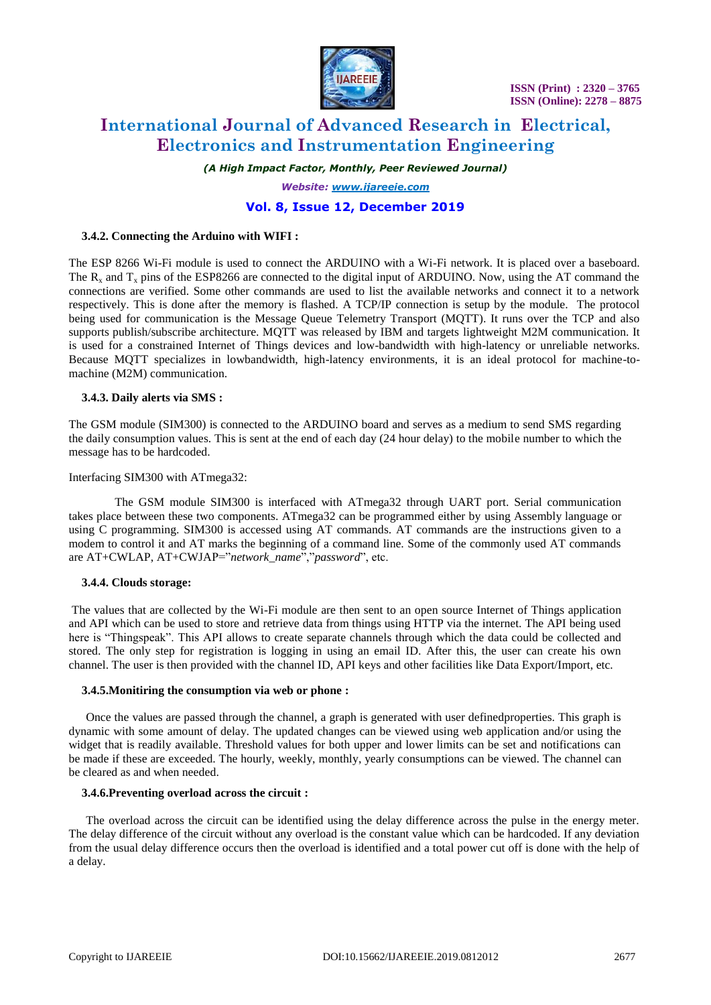

# **International Journal of Advanced Research in Electrical, Electronics and Instrumentation Engineering**

*(A High Impact Factor, Monthly, Peer Reviewed Journal)*

*Website: [www.ijareeie.com](http://www.ijareeie.com/)*

# **Vol. 8, Issue 12, December 2019**

#### **3.4.2. Connecting the Arduino with WIFI :**

The ESP 8266 Wi-Fi module is used to connect the ARDUINO with a Wi-Fi network. It is placed over a baseboard. The  $R_x$  and  $T_x$  pins of the ESP8266 are connected to the digital input of ARDUINO. Now, using the AT command the connections are verified. Some other commands are used to list the available networks and connect it to a network respectively. This is done after the memory is flashed. A TCP/IP connection is setup by the module. The protocol being used for communication is the Message Queue Telemetry Transport (MQTT). It runs over the TCP and also supports publish/subscribe architecture. MQTT was released by IBM and targets lightweight M2M communication. It is used for a constrained Internet of Things devices and low-bandwidth with high-latency or unreliable networks. Because MQTT specializes in lowbandwidth, high-latency environments, it is an ideal protocol for machine-tomachine (M2M) communication.

#### **3.4.3. Daily alerts via SMS :**

The GSM module (SIM300) is connected to the ARDUINO board and serves as a medium to send SMS regarding the daily consumption values. This is sent at the end of each day (24 hour delay) to the mobile number to which the message has to be hardcoded.

#### Interfacing SIM300 with ATmega32:

The GSM module SIM300 is interfaced with ATmega32 through UART port. Serial communication takes place between these two components. ATmega32 can be programmed either by using Assembly language or using C programming. SIM300 is accessed using AT commands. AT commands are the instructions given to a modem to control it and AT marks the beginning of a command line. Some of the commonly used AT commands are AT+CWLAP, AT+CWJAP="*network\_name*","*password*", etc.

#### **3.4.4. Clouds storage:**

The values that are collected by the Wi-Fi module are then sent to an open source Internet of Things application and API which can be used to store and retrieve data from things using HTTP via the internet. The API being used here is "Thingspeak". This API allows to create separate channels through which the data could be collected and stored. The only step for registration is logging in using an email ID. After this, the user can create his own channel. The user is then provided with the channel ID, API keys and other facilities like Data Export/Import, etc.

#### **3.4.5.Monitiring the consumption via web or phone :**

Once the values are passed through the channel, a graph is generated with user definedproperties. This graph is dynamic with some amount of delay. The updated changes can be viewed using web application and/or using the widget that is readily available. Threshold values for both upper and lower limits can be set and notifications can be made if these are exceeded. The hourly, weekly, monthly, yearly consumptions can be viewed. The channel can be cleared as and when needed.

#### **3.4.6.Preventing overload across the circuit :**

The overload across the circuit can be identified using the delay difference across the pulse in the energy meter. The delay difference of the circuit without any overload is the constant value which can be hardcoded. If any deviation from the usual delay difference occurs then the overload is identified and a total power cut off is done with the help of a delay.